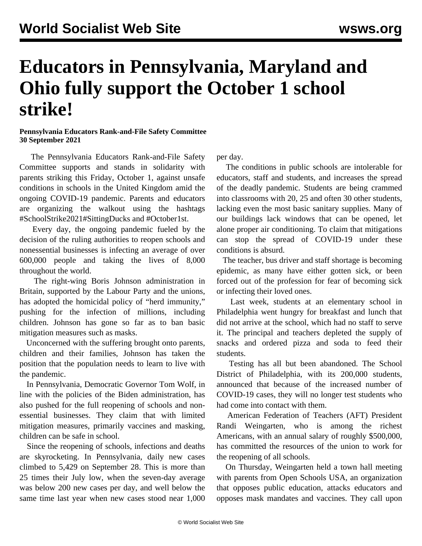## **Educators in Pennsylvania, Maryland and Ohio fully support the October 1 school strike!**

## **Pennsylvania Educators Rank-and-File Safety Committee 30 September 2021**

 The Pennsylvania Educators Rank-and-File Safety Committee supports and stands in solidarity with parents striking this Friday, October 1, against unsafe conditions in schools in the United Kingdom amid the ongoing COVID-19 pandemic. Parents and educators are organizing the walkout using the hashtags #SchoolStrike2021#SittingDucks and #October1st.

 Every day, the ongoing pandemic fueled by the decision of the ruling authorities to reopen schools and nonessential businesses is infecting an average of over 600,000 people and taking the lives of 8,000 throughout the world.

 The right-wing Boris Johnson administration in Britain, supported by the Labour Party and the unions, has adopted the homicidal policy of "herd immunity," pushing for the infection of millions, including children. Johnson has gone so far as to ban basic mitigation measures such as masks.

 Unconcerned with the suffering brought onto parents, children and their families, Johnson has taken the position that the population needs to learn to live with the pandemic.

 In Pennsylvania, Democratic Governor Tom Wolf, in line with the policies of the Biden administration, has also pushed for the full reopening of schools and nonessential businesses. They claim that with limited mitigation measures, primarily vaccines and masking, children can be safe in school.

 Since the reopening of schools, infections and deaths are skyrocketing. In Pennsylvania, daily new cases climbed to 5,429 on September 28. This is more than 25 times their July low, when the seven-day average was below 200 new cases per day, and well below the same time last year when new cases stood near 1,000 per day.

 The conditions in public schools are intolerable for educators, staff and students, and increases the spread of the deadly pandemic. Students are being crammed into classrooms with 20, 25 and often 30 other students, lacking even the most basic sanitary supplies. Many of our buildings lack windows that can be opened, let alone proper air conditioning. To claim that mitigations can stop the spread of COVID-19 under these conditions is absurd.

 The teacher, bus driver and staff shortage is becoming epidemic, as many have either gotten sick, or been forced out of the profession for fear of becoming sick or infecting their loved ones.

 Last week, students at an elementary school in Philadelphia went hungry for breakfast and lunch that did not arrive at the school, which had no staff to serve it. The principal and teachers depleted the supply of snacks and ordered pizza and soda to feed their students.

 Testing has all but been abandoned. The School District of Philadelphia, with its 200,000 students, announced that because of the increased number of COVID-19 cases, they will no longer test students who had come into contact with them.

 American Federation of Teachers (AFT) President Randi Weingarten, who is among the richest Americans, with an annual salary of roughly \$500,000, has committed the resources of the union to work for the reopening of all schools.

 On Thursday, Weingarten held a town hall meeting with parents from Open Schools USA, an organization that opposes public education, attacks educators and opposes mask mandates and vaccines. They call upon